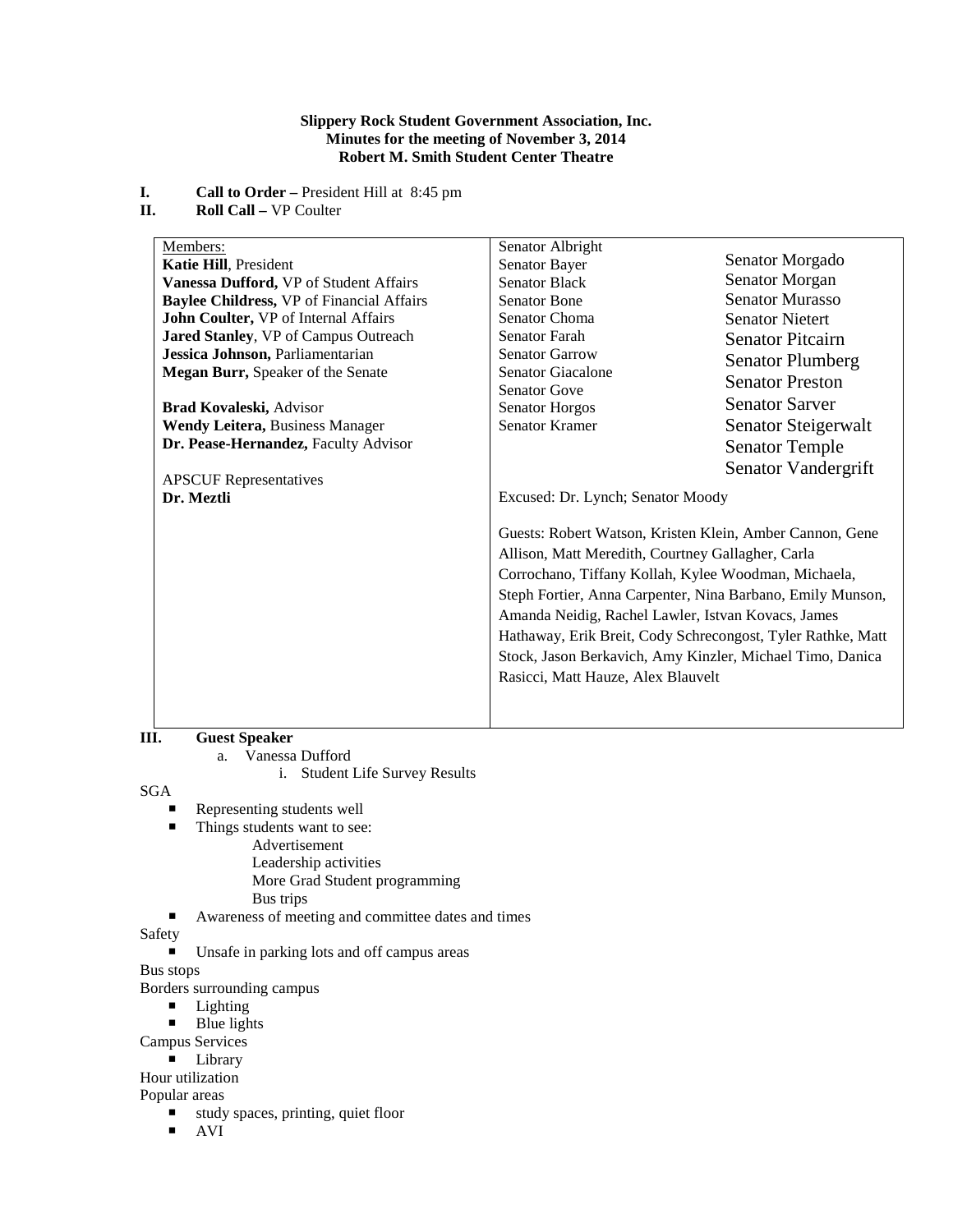## **Slippery Rock Student Government Association, Inc. Minutes for the meeting of November 3, 2014 Robert M. Smith Student Center Theatre**

# **I. Call to Order –** President Hill at 8:45 pm

**II. Roll Call –** VP Coulter

| Members:                                         | Senator Albright                                            |                         |
|--------------------------------------------------|-------------------------------------------------------------|-------------------------|
| Katie Hill, President                            | Senator Bayer                                               | Senator Morgado         |
| Vanessa Dufford, VP of Student Affairs           | <b>Senator Black</b>                                        | Senator Morgan          |
| <b>Baylee Childress, VP of Financial Affairs</b> | <b>Senator Bone</b>                                         | <b>Senator Murasso</b>  |
| John Coulter, VP of Internal Affairs             | Senator Choma                                               | <b>Senator Nietert</b>  |
| Jared Stanley, VP of Campus Outreach             | Senator Farah                                               | <b>Senator Pitcairn</b> |
| Jessica Johnson, Parliamentarian                 | <b>Senator Garrow</b>                                       | <b>Senator Plumberg</b> |
| Megan Burr, Speaker of the Senate                | <b>Senator Giacalone</b>                                    | <b>Senator Preston</b>  |
|                                                  | <b>Senator Gove</b>                                         |                         |
| <b>Brad Kovaleski, Advisor</b>                   | <b>Senator Horgos</b>                                       | <b>Senator Sarver</b>   |
| <b>Wendy Leitera, Business Manager</b>           | <b>Senator Kramer</b>                                       | Senator Steigerwalt     |
| Dr. Pease-Hernandez, Faculty Advisor             |                                                             | <b>Senator Temple</b>   |
|                                                  |                                                             | Senator Vandergrift     |
| <b>APSCUF</b> Representatives                    |                                                             |                         |
| Dr. Meztli                                       | Excused: Dr. Lynch; Senator Moody                           |                         |
|                                                  | Guests: Robert Watson, Kristen Klein, Amber Cannon, Gene    |                         |
|                                                  |                                                             |                         |
|                                                  | Allison, Matt Meredith, Courtney Gallagher, Carla           |                         |
|                                                  | Corrochano, Tiffany Kollah, Kylee Woodman, Michaela,        |                         |
|                                                  | Steph Fortier, Anna Carpenter, Nina Barbano, Emily Munson,  |                         |
|                                                  | Amanda Neidig, Rachel Lawler, Istvan Kovacs, James          |                         |
|                                                  | Hathaway, Erik Breit, Cody Schrecongost, Tyler Rathke, Matt |                         |
|                                                  | Stock, Jason Berkavich, Amy Kinzler, Michael Timo, Danica   |                         |
|                                                  | Rasicci, Matt Hauze, Alex Blauvelt                          |                         |
|                                                  |                                                             |                         |
|                                                  |                                                             |                         |

# **III. Guest Speaker**

a. Vanessa Dufford

i. Student Life Survey Results

SGA

- Representing students well<br>Things students want to see
- Things students want to see:
	- Advertisement

Leadership activities

- More Grad Student programming
- Bus trips
- Awareness of meeting and committee dates and times

Safety

Unsafe in parking lots and off campus areas

Bus stops

Borders surrounding campus

- **Lighting**
- $\blacksquare$  Blue lights

Campus Services

**Library** 

Hour utilization

Popular areas

- study spaces, printing, quiet floor
- AVI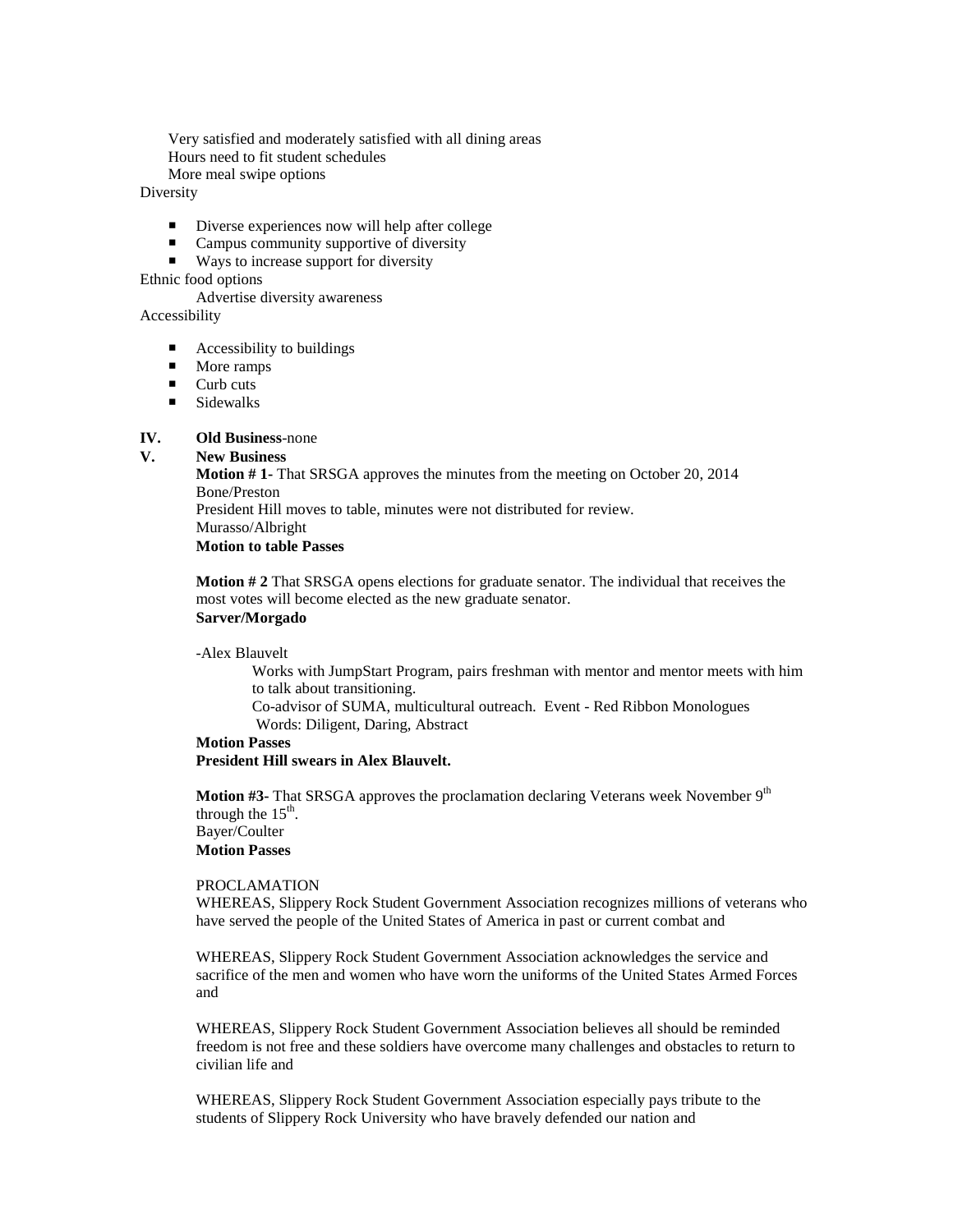Very satisfied and moderately satisfied with all dining areas Hours need to fit student schedules

More meal swipe options

**Diversity** 

- Diverse experiences now will help after college
- Campus community supportive of diversity
- Ways to increase support for diversity

Ethnic food options

Advertise diversity awareness

Accessibility

- $\blacksquare$  Accessibility to buildings
- $\blacksquare$  More ramps
- $\blacksquare$  Curb cuts
- $\blacksquare$  Sidewalks

## **IV. Old Business**-none

## **V. New Business**

**Motion # 1-** That SRSGA approves the minutes from the meeting on October 20, 2014 Bone/Preston President Hill moves to table, minutes were not distributed for review. Murasso/Albright **Motion to table Passes**

**Motion # 2** That SRSGA opens elections for graduate senator. The individual that receives the most votes will become elected as the new graduate senator. **Sarver/Morgado**

-Alex Blauvelt

Works with JumpStart Program, pairs freshman with mentor and mentor meets with him to talk about transitioning.

Co-advisor of SUMA, multicultural outreach. Event - Red Ribbon Monologues Words: Diligent, Daring, Abstract

# **Motion Passes President Hill swears in Alex Blauvelt.**

**Motion #3-** That SRSGA approves the proclamation declaring Veterans week November 9<sup>th</sup> through the  $15<sup>th</sup>$ . Bayer/Coulter **Motion Passes**

## PROCLAMATION

WHEREAS, Slippery Rock Student Government Association recognizes millions of veterans who have served the people of the United States of America in past or current combat and

WHEREAS, Slippery Rock Student Government Association acknowledges the service and sacrifice of the men and women who have worn the uniforms of the United States Armed Forces and

WHEREAS, Slippery Rock Student Government Association believes all should be reminded freedom is not free and these soldiers have overcome many challenges and obstacles to return to civilian life and

WHEREAS, Slippery Rock Student Government Association especially pays tribute to the students of Slippery Rock University who have bravely defended our nation and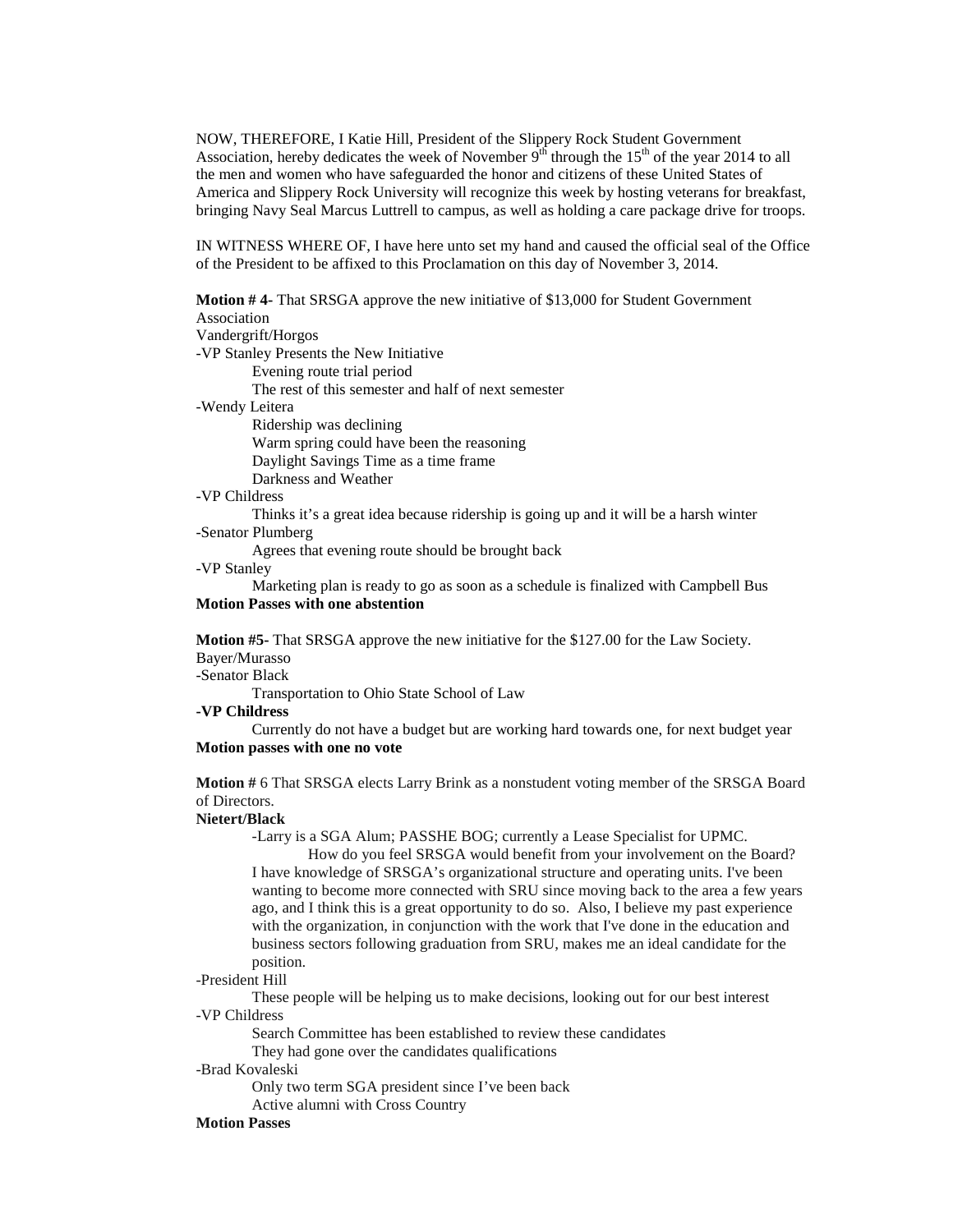NOW, THEREFORE, I Katie Hill, President of the Slippery Rock Student Government Association, hereby dedicates the week of November  $9<sup>th</sup>$  through the 15<sup>th</sup> of the year 2014 to all the men and women who have safeguarded the honor and citizens of these United States of America and Slippery Rock University will recognize this week by hosting veterans for breakfast, bringing Navy Seal Marcus Luttrell to campus, as well as holding a care package drive for troops.

IN WITNESS WHERE OF, I have here unto set my hand and caused the official seal of the Office of the President to be affixed to this Proclamation on this day of November 3, 2014.

**Motion # 4-** That SRSGA approve the new initiative of \$13,000 for Student Government Association Vandergrift/Horgos -VP Stanley Presents the New Initiative Evening route trial period The rest of this semester and half of next semester -Wendy Leitera Ridership was declining Warm spring could have been the reasoning Daylight Savings Time as a time frame Darkness and Weather

## -VP Childress

Thinks it's a great idea because ridership is going up and it will be a harsh winter -Senator Plumberg

Agrees that evening route should be brought back

## -VP Stanley

Marketing plan is ready to go as soon as a schedule is finalized with Campbell Bus **Motion Passes with one abstention**

**Motion #5-** That SRSGA approve the new initiative for the \$127.00 for the Law Society. Bayer/Murasso

-Senator Black

Transportation to Ohio State School of Law

**-VP Childress**

Currently do not have a budget but are working hard towards one, for next budget year **Motion passes with one no vote**

**Motion #** 6 That SRSGA elects Larry Brink as a nonstudent voting member of the SRSGA Board of Directors.

#### **Nietert/Black**

-Larry is a SGA Alum; PASSHE BOG; currently a Lease Specialist for UPMC.

 How do you feel SRSGA would benefit from your involvement on the Board? I have knowledge of SRSGA's organizational structure and operating units. I've been wanting to become more connected with SRU since moving back to the area a few years ago, and I think this is a great opportunity to do so. Also, I believe my past experience with the organization, in conjunction with the work that I've done in the education and business sectors following graduation from SRU, makes me an ideal candidate for the position.

## -President Hill

These people will be helping us to make decisions, looking out for our best interest -VP Childress

Search Committee has been established to review these candidates

They had gone over the candidates qualifications

## -Brad Kovaleski

Only two term SGA president since I've been back Active alumni with Cross Country

### **Motion Passes**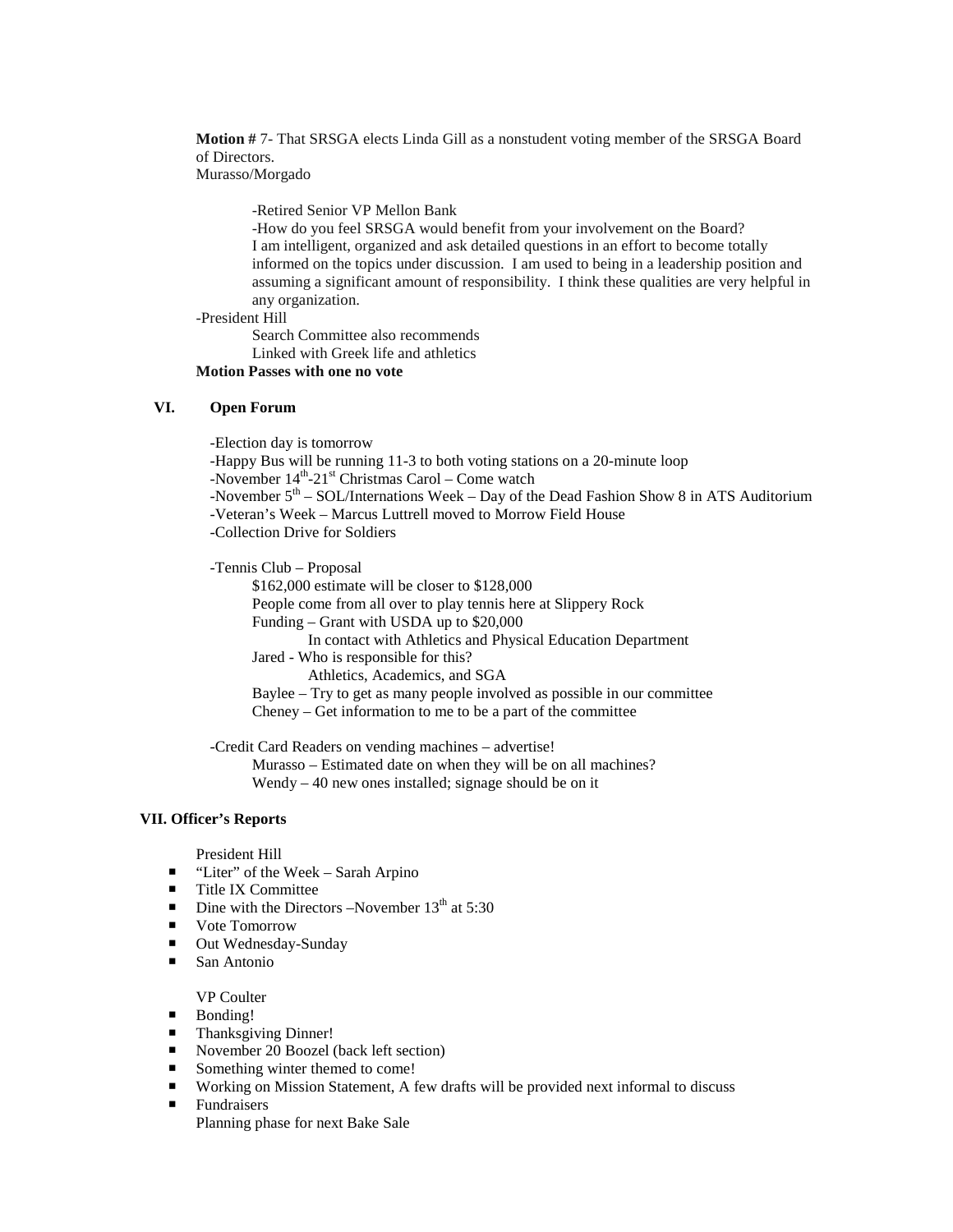**Motion #** 7- That SRSGA elects Linda Gill as a nonstudent voting member of the SRSGA Board of Directors.

Murasso/Morgado

-Retired Senior VP Mellon Bank

-How do you feel SRSGA would benefit from your involvement on the Board? I am intelligent, organized and ask detailed questions in an effort to become totally informed on the topics under discussion. I am used to being in a leadership position and assuming a significant amount of responsibility. I think these qualities are very helpful in any organization.

-President Hill

Search Committee also recommends Linked with Greek life and athletics

**Motion Passes with one no vote**

# **VI. Open Forum**

-Election day is tomorrow -Happy Bus will be running 11-3 to both voting stations on a 20-minute loop -November  $14^{th}$ -21<sup>st</sup> Christmas Carol – Come watch -November  $5<sup>th</sup>$  – SOL/Internations Week – Day of the Dead Fashion Show 8 in ATS Auditorium -Veteran's Week – Marcus Luttrell moved to Morrow Field House -Collection Drive for Soldiers

-Tennis Club – Proposal

\$162,000 estimate will be closer to \$128,000 People come from all over to play tennis here at Slippery Rock

Funding – Grant with USDA up to \$20,000

In contact with Athletics and Physical Education Department

Jared - Who is responsible for this?

Athletics, Academics, and SGA

Baylee – Try to get as many people involved as possible in our committee Cheney – Get information to me to be a part of the committee

-Credit Card Readers on vending machines – advertise!

Murasso – Estimated date on when they will be on all machines?

Wendy – 40 new ones installed; signage should be on it

# **VII. Officer's Reports**

President Hill

- "Liter" of the Week Sarah Arpino
- Title IX Committee
- Dine with the Directors –November  $13<sup>th</sup>$  at 5:30
- Vote Tomorrow
- Out Wednesday-Sunday
- San Antonio

VP Coulter

- **Bonding!**
- Thanksgiving Dinner!
- November 20 Boozel (back left section)
- Something winter themed to come!
- Working on Mission Statement, A few drafts will be provided next informal to discuss<br>■ Fundraisers
- Fundraisers Planning phase for next Bake Sale